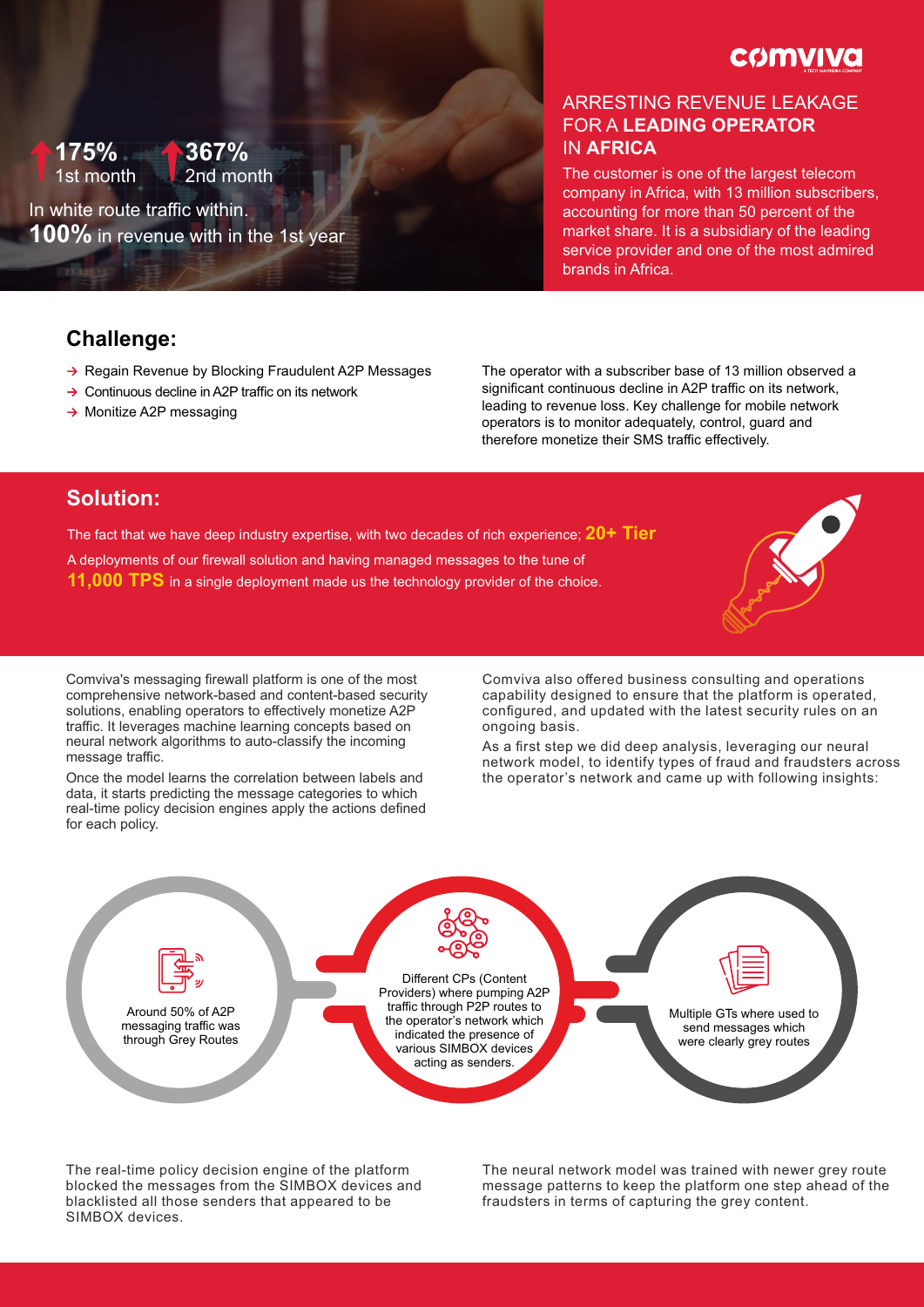**COMVIVO** 

#### **175%** IN **AFRICA** 1st month **367%** 2nd month

In white route traffic within. **100%** in revenue with in the 1st year

# ARRESTING REVENUE LEAKAGE FOR A **LEADING OPERATOR**

The customer is one of the largest telecom company in Africa, with 13 million subscribers, accounting for more than 50 percent of the market share. It is a subsidiary of the leading service provider and one of the most admired brands in Africa.

## **Challenge:**

- $\rightarrow$  Regain Revenue by Blocking Fraudulent A2P Messages
- $\rightarrow$  Continuous decline in A2P traffic on its network
- $\rightarrow$  Monitize A2P messaging

The operator with a subscriber base of 13 million observed a significant continuous decline in A2P traffic on its network. leading to revenue loss. Key challenge for mobile network operators is to monitor adequately, control, guard and therefore monetize their SMS traffic effectively.

## **Solution:**

The fact that we have deep industry expertise, with two decades of rich experience; **20+ Tier** A deployments of our firewall solution and having managed messages to the tune of **11,000 TPS** in a single deployment made us the technology provider of the choice.

Comviva's messaging firewall platform is one of the most comprehensive network-based and content-based security solutions, enabling operators to effectively monetize A2P traffic. It leverages machine learning concepts based on neural network algorithms to auto-classify the incoming message traffic.

Once the model learns the correlation between labels and data, it starts predicting the message categories to which real-time policy decision engines apply the actions defined for each policy.

Comviva also offered business consulting and operations capability designed to ensure that the platform is operated, configured, and updated with the latest security rules on an ongoing basis.

As a first step we did deep analysis, leveraging our neural network model, to identify types of fraud and fraudsters across the operator's network and came up with following insights:



The real-time policy decision engine of the platform blocked the messages from the SIMBOX devices and blacklisted all those senders that appeared to be SIMBOX devices.

The neural network model was trained with newer grey route message patterns to keep the platform one step ahead of the fraudsters in terms of capturing the grey content.